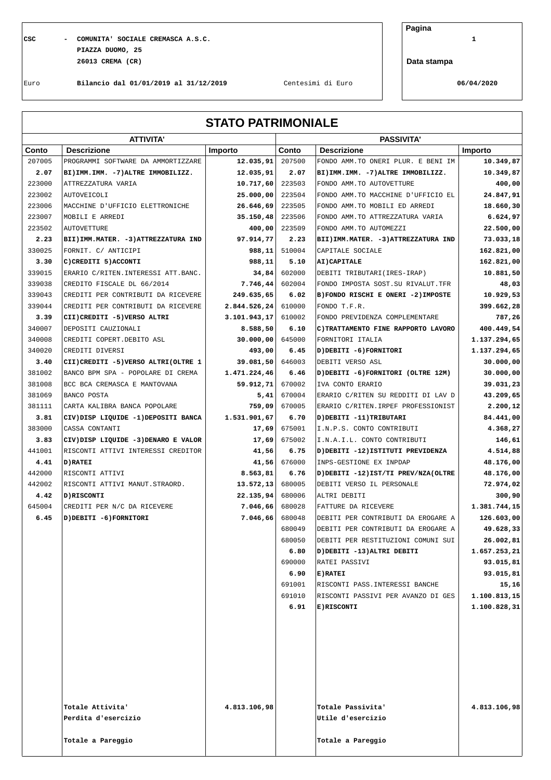**CSC - COMUNITA' SOCIALE CREMASCA A.S.C. 1 PIAZZA DUOMO, 25 26013 CREMA (CR)**

**Pagina**

**Data stampa**

Euro **Bilancio dal 01/01/2019 al 31/12/2019** Centesimi di Euro **06/04/2020**

**STATO PATRIMONIALE**

|        | <b>ATTIVITA'</b>                       |               |                  | <b>PASSIVITA'</b>                      |              |  |  |
|--------|----------------------------------------|---------------|------------------|----------------------------------------|--------------|--|--|
| Conto  | <b>Descrizione</b>                     | Importo       | Conto            | <b>Descrizione</b>                     | Importo      |  |  |
| 207005 | PROGRAMMI SOFTWARE DA AMMORTIZZARE     | 12.035,91     | 207500           | FONDO AMM. TO ONERI PLUR. E BENI IM    | 10.349,87    |  |  |
| 2.07   | BI) IMM. IMM. - 7) ALTRE IMMOBILIZZ.   | 12.035,91     | 2.07             | BI) IMM. IMM. - 7) ALTRE IMMOBILIZZ.   | 10.349,87    |  |  |
| 223000 | ATTREZZATURA VARIA                     | 10.717,60     | 223503           | FONDO AMM. TO AUTOVETTURE              | 400,00       |  |  |
| 223002 | AUTOVEICOLI                            | 25.000,00     | 223504           | FONDO AMM. TO MACCHINE D'UFFICIO EL    | 24.847,91    |  |  |
| 223006 | MACCHINE D'UFFICIO ELETTRONICHE        | 26.646,69     | 223505           | FONDO AMM. TO MOBILI ED ARREDI         | 18.660,30    |  |  |
| 223007 | MOBILI E ARREDI                        | 35.150, 48    | 223506           | FONDO AMM. TO ATTREZZATURA VARIA       | 6.624,97     |  |  |
| 223502 | <b>AUTOVETTURE</b>                     | 400,00        | 223509           | FONDO AMM. TO AUTOMEZZI                | 22.500,00    |  |  |
| 2.23   | BII) IMM. MATER. - 3) ATTREZZATURA IND | 97.914,77     | 2.23             | BII) IMM. MATER. - 3) ATTREZZATURA IND | 73.033,18    |  |  |
| 330025 | FORNIT. C/ ANTICIPI                    | 988,11        | 510004           | CAPITALE SOCIALE                       | 162.821,00   |  |  |
| 3.30   | C) CREDITI 5) ACCONTI                  | 988,11        | 5.10             | AI) CAPITALE                           | 162.821,00   |  |  |
| 339015 | ERARIO C/RITEN. INTERESSI ATT. BANC.   | 34,84         | 602000           | DEBITI TRIBUTARI (IRES-IRAP)           | 10.881,50    |  |  |
| 339038 | CREDITO FISCALE DL 66/2014             | 7.746, 44     | 602004           | FONDO IMPOSTA SOST. SU RIVALUT. TFR    | 48,03        |  |  |
| 339043 | CREDITI PER CONTRIBUTI DA RICEVERE     | 249.635,65    | 6.02             | B) FONDO RISCHI E ONERI -2) IMPOSTE    | 10.929,53    |  |  |
| 339044 | CREDITI PER CONTRIBUTI DA RICEVERE     | 2.844.526, 24 | 610000           | FONDO T.F.R.                           | 399.662,28   |  |  |
| 3.39   | CII) CREDITI -5) VERSO ALTRI           | 3.101.943, 17 | 610002           | FONDO PREVIDENZA COMPLEMENTARE         | 787,26       |  |  |
| 340007 | DEPOSITI CAUZIONALI                    | 8.588,50      | 6.10             | C) TRATTAMENTO FINE RAPPORTO LAVORO    | 400.449,54   |  |  |
| 340008 | CREDITI COPERT. DEBITO ASL             | 30.000,00     | 645000           | FORNITORI ITALIA                       | 1.137.294,65 |  |  |
| 340020 | CREDITI DIVERSI                        | 493,00        | 6.45             | D) DEBITI -6) FORNITORI                | 1.137.294,65 |  |  |
| 3.40   | CII) CREDITI -5) VERSO ALTRI (OLTRE 1  | 39.081,50     | 646003           | DEBITI VERSO ASL                       | 30.000,00    |  |  |
| 381002 | BANCO BPM SPA - POPOLARE DI CREMA      | 1.471.224,46  | 6.46             | D) DEBITI -6) FORNITORI (OLTRE 12M)    | 30.000,00    |  |  |
| 381008 | BCC BCA CREMASCA E MANTOVANA           | 59.912, 71    | 670002           | IVA CONTO ERARIO                       | 39.031,23    |  |  |
| 381069 | BANCO POSTA                            | 5,41          | 670004           | ERARIO C/RITEN SU REDDITI DI LAV D     | 43.209,65    |  |  |
| 381111 | CARTA KALIBRA BANCA POPOLARE           | 759,09        | 670005           | ERARIO C/RITEN. IRPEF PROFESSIONIST    | 2.200,12     |  |  |
| 3.81   | CIV) DISP LIQUIDE -1) DEPOSITI BANCA   | 1.531.901,67  | 6.70             | D) DEBITI -11) TRIBUTARI               | 84.441,00    |  |  |
| 383000 | CASSA CONTANTI                         | 17,69         | 675001           | I.N.P.S. CONTO CONTRIBUTI              | 4.368,27     |  |  |
| 3.83   | CIV) DISP LIQUIDE -3) DENARO E VALOR   | 17,69         | 675002           | I.N.A.I.L. CONTO CONTRIBUTI            | 146,61       |  |  |
| 441001 | RISCONTI ATTIVI INTERESSI CREDITOR     | 41,56         | 6.75             | D) DEBITI -12) ISTITUTI PREVIDENZA     | 4.514,88     |  |  |
| 4.41   | D) RATEI                               | 41,56         | 676000           | INPS-GESTIONE EX INPDAP                | 48.176,00    |  |  |
| 442000 | RISCONTI ATTIVI                        | 8.563,81      | 6.76             | D) DEBITI -12) IST/TI PREV/NZA (OLTRE  | 48.176,00    |  |  |
| 442002 | RISCONTI ATTIVI MANUT.STRAORD.         | 13.572, 13    | 680005           | DEBITI VERSO IL PERSONALE              | 72.974,02    |  |  |
| 4.42   | D) RISCONTI                            | 22.135,94     | 680006           | ALTRI DEBITI                           | 300,90       |  |  |
| 645004 | CREDITI PER N/C DA RICEVERE            | 7.046,66      | 680028           | FATTURE DA RICEVERE                    | 1.381.744,15 |  |  |
| 6.45   | D) DEBITI -6) FORNITORI                | 7.046,66      | 680048           | DEBITI PER CONTRIBUTI DA EROGARE A     | 126.603,00   |  |  |
|        |                                        |               | 680049           | DEBITI PER CONTRIBUTI DA EROGARE A     | 49.628,33    |  |  |
|        |                                        |               | 680050           | DEBITI PER RESTITUZIONI COMUNI SUI     | 26.002,81    |  |  |
|        |                                        |               | 6.80             | D)DEBITI -13)ALTRI DEBITI              | 1.657.253,21 |  |  |
|        |                                        |               | 690000           | RATEI PASSIVI                          | 93.015,81    |  |  |
|        |                                        |               | 6.90             | E) RATEI                               | 93.015,81    |  |  |
|        |                                        |               | 691001<br>691010 | RISCONTI PASS. INTERESSI BANCHE        | 15,16        |  |  |
|        |                                        |               |                  | RISCONTI PASSIVI PER AVANZO DI GES     | 1.100.813,15 |  |  |
|        |                                        |               | 6.91             | <b>E)RISCONTI</b>                      | 1.100.828,31 |  |  |
|        |                                        |               |                  |                                        |              |  |  |
|        |                                        |               |                  |                                        |              |  |  |
|        |                                        |               |                  |                                        |              |  |  |
|        |                                        |               |                  |                                        |              |  |  |
|        |                                        |               |                  |                                        |              |  |  |
|        |                                        |               |                  |                                        |              |  |  |
|        |                                        |               |                  |                                        |              |  |  |
|        | Totale Attivita'                       | 4.813.106,98  |                  | Totale Passivita'                      | 4.813.106,98 |  |  |
|        | Perdita d'esercizio                    |               |                  | Utile d'esercizio                      |              |  |  |
|        |                                        |               |                  |                                        |              |  |  |
|        | Totale a Pareggio                      |               |                  | Totale a Pareggio                      |              |  |  |
|        |                                        |               |                  |                                        |              |  |  |
|        |                                        |               |                  |                                        |              |  |  |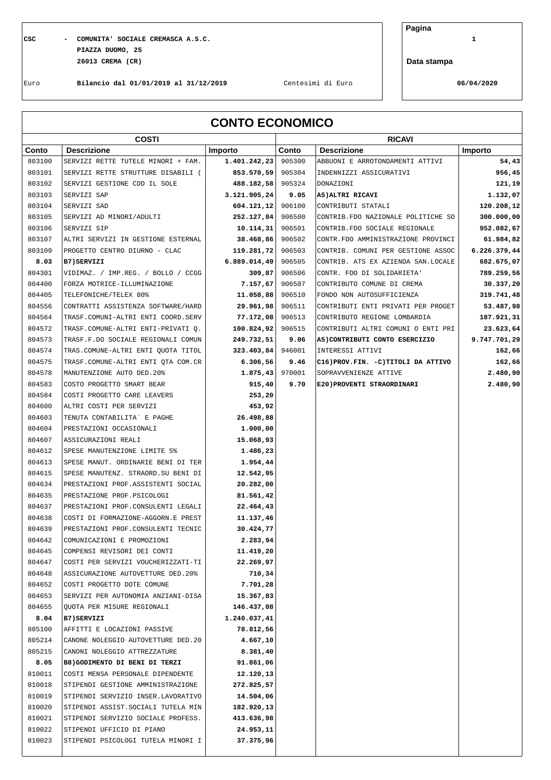## **CSC - COMUNITA' SOCIALE CREMASCA A.S.C. 1 PIAZZA DUOMO, 25 26013 CREMA (CR)**

**Pagina**

**Data stampa**

Euro **Bilancio dal 01/01/2019 al 31/12/2019** Centesimi di Euro **06/04/2020**

| <b>CONTO ECONOMICO</b> |                                                                   |                        |        |                                       |              |
|------------------------|-------------------------------------------------------------------|------------------------|--------|---------------------------------------|--------------|
|                        | <b>COSTI</b>                                                      |                        |        | <b>RICAVI</b>                         |              |
| Conto                  | <b>Descrizione</b>                                                | Importo                | Conto  | <b>Descrizione</b>                    | Importo      |
| 803100                 | SERVIZI RETTE TUTELE MINORI + FAM.                                | 1.401.242,23           | 905300 | ABBUONI E ARROTONDAMENTI ATTIVI       | 54,43        |
| 803101                 | SERVIZI RETTE STRUTTURE DISABILI (                                | 853.570, 59            | 905304 | INDENNIZZI ASSICURATIVI               | 956,45       |
| 803102                 | SERVIZI GESTIONE CDD IL SOLE                                      | 488.182,58             | 905324 | DONAZIONI                             | 121,19       |
| 803103                 | SERVIZI SAP                                                       | 3.121.905,24           | 9.05   | A5) ALTRI RICAVI                      | 1.132,07     |
| 803104                 | SERVIZI SAD                                                       | 604.121, 12            | 906100 | CONTRIBUTI STATALI                    | 120.208,12   |
| 803105                 | SERVIZI AD MINORI/ADULTI                                          | 252.127,84             | 906500 | CONTRIB. FDO NAZIONALE POLITICHE SO   | 300.000,00   |
| 803106                 | SERVIZI SIP                                                       | 10.114, 31             | 906501 | CONTRIB. FDO SOCIALE REGIONALE        | 952.082,67   |
| 803107                 | ALTRI SERVIZI IN GESTIONE ESTERNAL                                | 38.468,86              | 906502 | CONTR.FDO AMMINISTRAZIONE PROVINCI    | 61.984,82    |
| 803109                 | PROGETTO CENTRO DIURNO - CLAC                                     | 119.281,72             | 906503 | CONTRIB. COMUNI PER GESTIONE ASSOC    | 6.226.379,44 |
| 8.03                   | B7) SERVIZI                                                       | 6.889.014,49           | 906505 | CONTRIB. ATS EX AZIENDA SAN.LOCALE    | 682.675,07   |
| 804301                 | VIDIMAZ. / IMP.REG. / BOLLO / CCGG                                | 309,87                 | 906506 | CONTR. FDO DI SOLIDARIETA'            | 789.259,56   |
| 804400                 | FORZA MOTRICE-ILLUMINAZIONE                                       | 7.157,67               | 906507 | CONTRIBUTO COMUNE DI CREMA            | 30.337,20    |
| 804405                 | TELEFONICHE/TELEX 80%                                             | 11.058,88              | 906510 | FONDO NON AUTOSUFFICIENZA             | 319.741,48   |
| 804556                 | CONTRATTI ASSISTENZA SOFTWARE/HARD                                | 29.961,98              | 906511 | CONTRIBUTI ENTI PRIVATI PER PROGET    | 53.487,98    |
| 804564                 | TRASF.COMUNI-ALTRI ENTI COORD.SERV                                | 77.172,08              | 906513 | CONTRIBUTO REGIONE LOMBARDIA          | 187.921,31   |
| 804572                 | TRASF.COMUNE-ALTRI ENTI-PRIVATI 0.                                | 100.824,92             | 906515 | CONTRIBUTI ALTRI COMUNI O ENTI PRI    | 23.623,64    |
| 804573                 | TRASF.F.DO SOCIALE REGIONALI COMUN                                | 249.732,51             | 9.06   | A5) CONTRIBUTI CONTO ESERCIZIO        | 9.747.701,29 |
| 804574                 | TRAS. COMUNE-ALTRI ENTI QUOTA TITOL                               | 323.403,84             | 946001 | INTERESSI ATTIVI                      | 162,66       |
| 804575                 | TRASF.COMUNE-ALTRI ENTI OTA COM.CR                                | 6.306,56               | 9.46   | C16) PROV. FIN. - C) TITOLI DA ATTIVO | 162,66       |
| 804578                 | MANUTENZIONE AUTO DED. 20%                                        | 1.875, 43              | 970001 | SOPRAVVENIENZE ATTIVE                 | 2.480,90     |
| 804583                 | COSTO PROGETTO SMART BEAR                                         | 915,40                 | 9.70   | E20) PROVENTI STRAORDINARI            | 2.480,90     |
| 804584                 | COSTI PROGETTO CARE LEAVERS                                       | 253,20                 |        |                                       |              |
| 804600                 | ALTRI COSTI PER SERVIZI                                           | 453,92                 |        |                                       |              |
| 804603                 | TENUTA CONTABILITA` E PAGHE                                       | 26.498,88              |        |                                       |              |
| 804604                 | PRESTAZIONI OCCASIONALI                                           | 1.000,00               |        |                                       |              |
| 804607                 | ASSICURAZIONI REALI                                               | 15.068,93              |        |                                       |              |
| 804612                 | SPESE MANUTENZIONE LIMITE 5%                                      | 1.486,23               |        |                                       |              |
| 804613<br>804615       | SPESE MANUT. ORDINARIE BENI DI TER                                | 1.954,44               |        |                                       |              |
|                        | SPESE MANUTENZ. STRAORD. SU BENI DI                               | 12.542,95<br>20.282,00 |        |                                       |              |
| 804634<br>804635       | PRESTAZIONI PROF. ASSISTENTI SOCIAL<br>PRESTAZIONE PROF.PSICOLOGI |                        |        |                                       |              |
|                        |                                                                   | 81.561,42              |        |                                       |              |
| 804637                 | PRESTAZIONI PROF. CONSULENTI LEGALI                               | 22.464,43              |        |                                       |              |
| 804638                 | COSTI DI FORMAZIONE-AGGORN.E PREST                                | 11.137,46              |        |                                       |              |
| 804639                 | PRESTAZIONI PROF.CONSULENTI TECNIC                                | 30.424,77              |        |                                       |              |
| 804642<br>804645       | COMUNICAZIONI E PROMOZIONI<br>COMPENSI REVISORI DEI CONTI         | 2.283,94<br>11.419,20  |        |                                       |              |
| 804647                 | COSTI PER SERVIZI VOUCHERIZZATI-TI                                | 22.269,97              |        |                                       |              |
| 804648                 | ASSICURAZIONE AUTOVETTURE DED. 20%                                | 710,34                 |        |                                       |              |
| 804652                 | COSTI PROGETTO DOTE COMUNE                                        | 7.701,28               |        |                                       |              |
| 804653                 | SERVIZI PER AUTONOMIA ANZIANI-DISA                                | 15.367,83              |        |                                       |              |
| 804655                 | QUOTA PER MISURE REGIONALI                                        | 146.437,08             |        |                                       |              |
| 8.04                   | <b>B7)SERVIZI</b>                                                 | 1.240.037,41           |        |                                       |              |
| 805100                 | AFFITTI E LOCAZIONI PASSIVE                                       | 78.812,56              |        |                                       |              |
| 805214                 | CANONE NOLEGGIO AUTOVETTURE DED. 20                               | 4.667,10               |        |                                       |              |
| 805215                 | CANONI NOLEGGIO ATTREZZATURE                                      | 8.381,40               |        |                                       |              |
| 8.05                   | B8) GODIMENTO DI BENI DI TERZI                                    | 91.861,06              |        |                                       |              |
| 810011                 | COSTI MENSA PERSONALE DIPENDENTE                                  | 12.120,13              |        |                                       |              |
| 810018                 | STIPENDI GESTIONE AMMINISTRAZIONE                                 | 272.825,57             |        |                                       |              |
| 810019                 | STIPENDI SERVIZIO INSER.LAVORATIVO                                | 14.504,06              |        |                                       |              |
| 810020                 | STIPENDI ASSIST. SOCIALI TUTELA MIN                               | 182.920,13             |        |                                       |              |
| 810021                 | STIPENDI SERVIZIO SOCIALE PROFESS.                                | 413.636,98             |        |                                       |              |
| 810022                 | STIPENDI UFFICIO DI PIANO                                         | 24.953,11              |        |                                       |              |
| 810023                 | STIPENDI PSICOLOGI TUTELA MINORI I                                | 37.375,96              |        |                                       |              |
|                        |                                                                   |                        |        |                                       |              |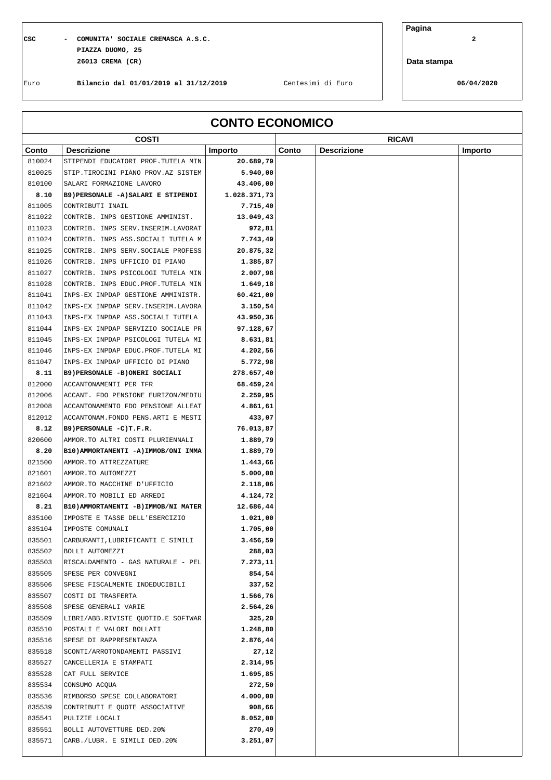## **CSC - COMUNITA' SOCIALE CREMASCA A.S.C. 2 PIAZZA DUOMO, 25 26013 CREMA (CR)**

**Pagina**

**Data stampa**

Euro **Bilancio dal 01/01/2019 al 31/12/2019** Centesimi di Euro **06/04/2020**

| <b>CONTO ECONOMICO</b> |                                            |                      |       |                    |         |
|------------------------|--------------------------------------------|----------------------|-------|--------------------|---------|
|                        | <b>COSTI</b>                               |                      |       | <b>RICAVI</b>      |         |
| Conto                  | <b>Descrizione</b>                         | Importo              | Conto | <b>Descrizione</b> | Importo |
| 810024                 | STIPENDI EDUCATORI PROF. TUTELA MIN        | 20.689,79            |       |                    |         |
| 810025                 | STIP.TIROCINI PIANO PROV.AZ SISTEM         | 5.940,00             |       |                    |         |
| 810100                 | SALARI FORMAZIONE LAVORO                   | 43.406,00            |       |                    |         |
| 8.10                   | B9) PERSONALE -A) SALARI E STIPENDI        | 1.028.371,73         |       |                    |         |
| 811005                 | CONTRIBUTI INAIL                           | 7.715,40             |       |                    |         |
| 811022                 | CONTRIB. INPS GESTIONE AMMINIST.           | 13.049,43            |       |                    |         |
| 811023                 | CONTRIB. INPS SERV. INSERIM. LAVORAT       | 972,81               |       |                    |         |
| 811024                 | CONTRIB. INPS ASS. SOCIALI TUTELA M        | 7.743,49             |       |                    |         |
| 811025                 | CONTRIB. INPS SERV. SOCIALE PROFESS        | 20.875,32            |       |                    |         |
| 811026                 | CONTRIB. INPS UFFICIO DI PIANO             | 1.385,87             |       |                    |         |
| 811027                 | CONTRIB. INPS PSICOLOGI TUTELA MIN         | 2.007,98             |       |                    |         |
| 811028                 | CONTRIB. INPS EDUC. PROF. TUTELA MIN       | 1.649,18             |       |                    |         |
| 811041                 | INPS-EX INPDAP GESTIONE AMMINISTR.         | 60.421,00            |       |                    |         |
| 811042                 | INPS-EX INPDAP SERV. INSERIM. LAVORA       | 3.150,54             |       |                    |         |
| 811043                 | INPS-EX INPDAP ASS. SOCIALI TUTELA         | 43.950,36            |       |                    |         |
| 811044                 | INPS-EX INPDAP SERVIZIO SOCIALE PR         | 97.128,67            |       |                    |         |
| 811045                 | INPS-EX INPDAP PSICOLOGI TUTELA MI         | 8.631,81             |       |                    |         |
| 811046                 | INPS-EX INPDAP EDUC.PROF.TUTELA MI         | 4.202,56             |       |                    |         |
| 811047                 | INPS-EX INPDAP UFFICIO DI PIANO            | 5.772,98             |       |                    |         |
| 8.11                   | B9) PERSONALE -B) ONERI SOCIALI            | 278.657,40           |       |                    |         |
| 812000                 | ACCANTONAMENTI PER TFR                     | 68.459,24            |       |                    |         |
| 812006                 | ACCANT. FDO PENSIONE EURIZON/MEDIU         | 2.259,95             |       |                    |         |
| 812008                 | ACCANTONAMENTO FDO PENSIONE ALLEAT         | 4.861,61             |       |                    |         |
| 812012                 | ACCANTONAM. FONDO PENS. ARTI E MESTI       | 433,07               |       |                    |         |
| 8.12                   | B9) PERSONALE -C) T.F.R.                   | 76.013,87            |       |                    |         |
| 820600                 | AMMOR.TO ALTRI COSTI PLURIENNALI           | 1.889,79             |       |                    |         |
| 8.20                   | B10) AMMORTAMENTI - A) IMMOB/ONI IMMA      | 1.889,79             |       |                    |         |
| 821500                 | AMMOR.TO ATTREZZATURE                      | 1.443,66             |       |                    |         |
| 821601                 | AMMOR.TO AUTOMEZZI                         | 5.000,00             |       |                    |         |
| 821602                 | AMMOR.TO MACCHINE D'UFFICIO                | 2.118,06             |       |                    |         |
| 821604                 | AMMOR.TO MOBILI ED ARREDI                  | 4.124,72             |       |                    |         |
| 8.21                   | B10) AMMORTAMENTI -B) IMMOB/NI MATER       | 12.686,44            |       |                    |         |
| 835100                 | IMPOSTE E TASSE DELL'ESERCIZIO             | 1.021,00             |       |                    |         |
| 835104                 | IMPOSTE COMUNALI                           | 1.705,00             |       |                    |         |
| 835501                 | CARBURANTI, LUBRIFICANTI E SIMILI          | 3.456,59             |       |                    |         |
| 835502                 | BOLLI AUTOMEZZI                            | 288,03               |       |                    |         |
| 835503                 | RISCALDAMENTO - GAS NATURALE - PEL         | 7.273,11             |       |                    |         |
| 835505                 | SPESE PER CONVEGNI                         | 854,54               |       |                    |         |
| 835506                 | SPESE FISCALMENTE INDEDUCIBILI             | 337,52               |       |                    |         |
| 835507                 | COSTI DI TRASFERTA                         | 1.566,76             |       |                    |         |
| 835508                 | SPESE GENERALI VARIE                       | 2.564,26             |       |                    |         |
| 835509                 | LIBRI/ABB.RIVISTE QUOTID.E SOFTWAR         | 325,20               |       |                    |         |
| 835510                 | POSTALI E VALORI BOLLATI                   | 1.248,80             |       |                    |         |
| 835516                 | SPESE DI RAPPRESENTANZA                    | 2.876,44             |       |                    |         |
| 835518                 | SCONTI/ARROTONDAMENTI PASSIVI              | 27,12                |       |                    |         |
| 835527<br>835528       | CANCELLERIA E STAMPATI<br>CAT FULL SERVICE | 2.314,95<br>1.695,85 |       |                    |         |
|                        |                                            |                      |       |                    |         |
| 835534                 | CONSUMO ACQUA                              | 272,50               |       |                    |         |
| 835536                 | RIMBORSO SPESE COLLABORATORI               | 4.000,00             |       |                    |         |
| 835539                 | CONTRIBUTI E QUOTE ASSOCIATIVE             | 908,66               |       |                    |         |
| 835541                 | PULIZIE LOCALI                             | 8.052,00             |       |                    |         |
| 835551<br>835571       | BOLLI AUTOVETTURE DED.20%                  | 270,49               |       |                    |         |
|                        | CARB./LUBR. E SIMILI DED.20%               | 3.251,07             |       |                    |         |